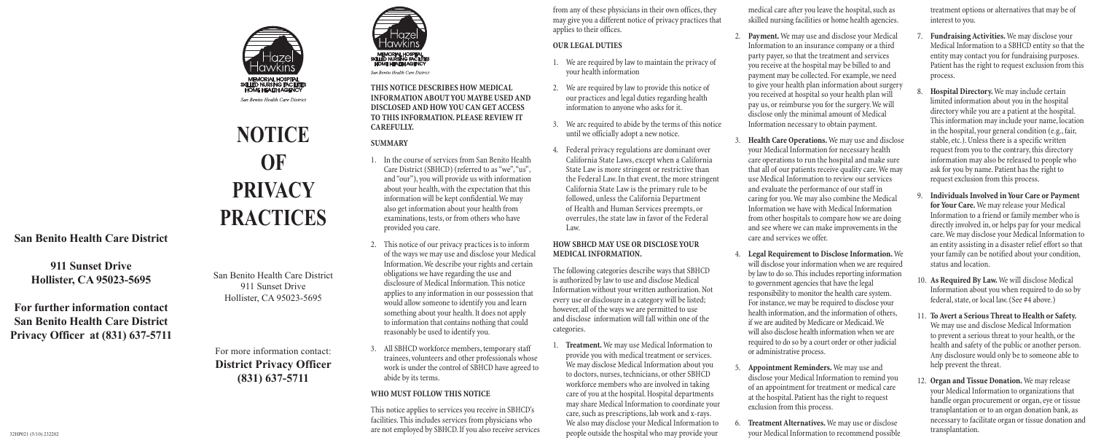

San Benito Health Care District

**San Benito Health Care District**

**911 Sunset Drive Hollister, CA 95023-5695**

**For further information contact San Benito Health Care District Privacy Officer at (831) 637-5711**

# **NOTICE OF PRIVACY PRACTICES**

San Benito Health Care District 911 Sunset Drive Hollister, CA 95023-5695

For more information contact: **District Privacy Officer (831) 637-5711**



San Benito Health Care District

#### **THIS NOTICE DESCRIBES HOW MEDICAL INFORMATION ABOUT YOU MAYBE USED AND DISCLOSED AND HOW YOU CAN GET ACCESS TO THIS INFORMATION. PLEASE REVIEW IT CAREFULLY.**

## **SUMMARY**

- 1. In the course of services from San Benito Health Care District (SBHCD) (referred to as "we", "us", and"our"), you will provide us with information about your health, with the expectation that this information will be kept confidential. We may also get information about your health from examinations, tests, or from others who have provided you care.
- 2. This notice of our privacy practices is to inform of the ways we may use and disclose your Medical Information.We describe your rights and certain obligations we have regarding the use and disclosure of Medical Information.This notice applies to any information in our possession that would allow someone to identify you and learn something about your health. It does not apply to information that contains nothing that could reasonably be used to identify you.
- 3. All SBHCD workforce members,temporary staff trainees, volunteers and other professionals whose work is under the control of SBHCD have agreed to abide by its terms.

from any of these physicians in their own offices, they may give you a different notice of privacy practices that applies to their offices.

- 1. We are required by law to maintain the privacy of your health information
- 2. We are required by law to provide this notice of our practices and legal duties regarding health information to anyone who asks for it.
- 3. We arc required to abide by the terms of this notice until we officially adopt a new notice.
- 4. Federal privacy regulations are dominant over California State Laws, except when a California State Law is more stringent or restrictive than the Federal Law.In that event, the more stringent California State Law is the primary rule to be followed, unless the California Department of Health and Human Services preempts, or overrules, the state law in favor of the Federal Law.

The following categories describe ways that SBHCD is authorized by law to use and disclose Medical Information without your written authorization.Not every use or disclosure in a category will be listed; however, all of the ways we are permitted to use and disclose information will fall within one of the categories.

**Treatment.** We may use Medical Information to provide you with medical treatment or services. We may disclose Medical Information about you to doctors, nurses, technicians, or other SBHCD workforce members who are involved in taking care of you at the hospital.Hospital departments may share Medical Information to coordinate your care, such as prescriptions, lab work and x-rays. We also may disclose your Medical Information to people outside the hospital who may provide your

## **WHO MUST FOLLOW THIS NOTICE**

This notice applies to services you receive in SBHCD's facilities.This includes services from physicians who are not employed by SBHCD. If you also receive services

medical care after you leave the hospital, such as skilled nursing facilities or home health agencies.

## **OUR LEGAL DUTIES**

## **HOW SBHCD MAY USE OR DISCLOSE YOUR MEDICAL INFORMATION.**

- 2. **Payment.** We may use and disclose your Medical Information to an insurance company or a third party payer, so that the treatment and services you receive at the hospital may be billed to and payment may be collected. For example, we need to give your health plan information about surgery you received at hospital so your health plan will pay us, or reimburse you for the surgery. We will disclose only the minimal amount of Medical Information necessary to obtain payment.
- 3. **Health Care Operations.** We may use and disclose your Medical Information for necessary health care operations to run the hospital and make sure that all of our patients receive quality care.We may use Medical Information to review our services and evaluate the performance of our staff in caring for you. We may also combine the Medical Information we have with Medical Information from other hospitals to compare how we are doing and see where we can make improvements in the care and services we offer.
- 4. **Legal Requirement to Disclose Information.** We will disclose your information when we are required by law to do so. This includes reporting information to government agencies that have the legal responsibility to monitor the health caresystem. For instance, we may be required to disclose your health information, and the information of others, if we are audited by Medicare or Medicaid.We will also disclose health information when we are required to do so by a court order or other judicial or administrative process.
- 5. **Appointment Reminders.** We may use and disclose your Medical Information to remind you of an appointment for treatment or medical care at the hospital. Patient has theright to request exclusion from this process.
- **Treatment Alternatives.** We may use or disclose your Medical Information to recommend possible
- **Fundraising Activities.** We may disclose your Medical Information to a SBHCD entity so that the entity may contact you for fundraising purposes. Patient has the right to request exclusion from this process.
- **Hospital Directory.** We may include certain limited information about you in the hospital directory while you are a patient at the hospital. This information may include your name, location in the hospital, your general condition (e.g., fair, stable, etc.). Unless there is a specific written request from you to the contrary, this directory information may also be released to people who ask for you by name. Patient has the right to request exclusion from this process.
- 9. **Individuals Involved in Your Care or Payment for Your Care.** We may release your Medical Information to a friend or family member who is directly involved in, or helps pay for your medical care.We may disclose your Medical Information to an entity assisting in a disaster relief effort so that your family can be notified about your condition, status and location.
- 10. **As Required By Law.** We will disclose Medical Information about you when required to do so by federal,state, or local law.(See #4 above.)
- 11. To Avert a Serious Threat to Health or Safety. We may use and disclose Medical Information to prevent a serious threat to your health, or the health and safety of the public or another person. Any disclosure would only be to someone able to help prevent the threat.
- 12. **Organ and Tissue Donation.** We may release your Medical Information to organizations that handle organ procurement or organ, eye or tissue transplantation or to an organ donation bank, as necessary to facilitate organ or tissue donation and transplantation.

treatment options or alternatives that may be of interest to you.